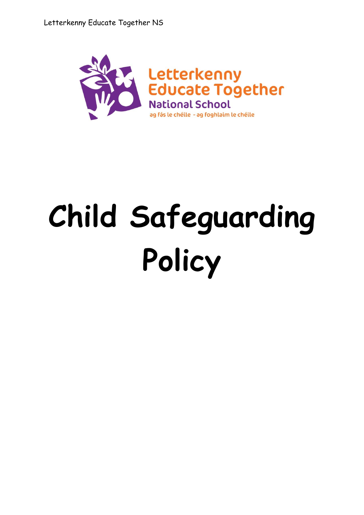

# **Child Safeguarding Policy**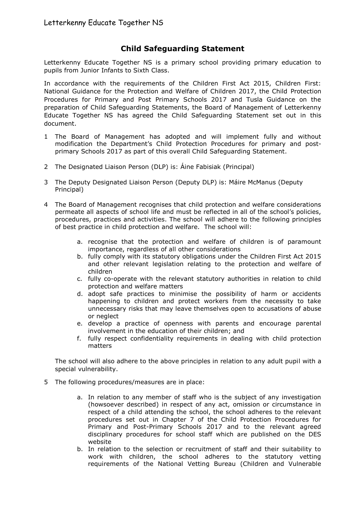# **Child Safeguarding Statement**

Letterkenny Educate Together NS is a primary school providing primary education to pupils from Junior Infants to Sixth Class.

In accordance with the requirements of the Children First Act 2015, Children First: National Guidance for the Protection and Welfare of Children 2017, the Child Protection Procedures for Primary and Post Primary Schools 2017 and Tusla Guidance on the preparation of Child Safeguarding Statements, the Board of Management of Letterkenny Educate Together NS has agreed the Child Safeguarding Statement set out in this document.

- 1 The Board of Management has adopted and will implement fully and without modification the Department's Child Protection Procedures for primary and postprimary Schools 2017 as part of this overall Child Safeguarding Statement.
- 2 The Designated Liaison Person (DLP) is: Áine Fabisiak (Principal)
- 3 The Deputy Designated Liaison Person (Deputy DLP) is: Máire McManus (Deputy Principal)
- 4 The Board of Management recognises that child protection and welfare considerations permeate all aspects of school life and must be reflected in all of the school's policies, procedures, practices and activities. The school will adhere to the following principles of best practice in child protection and welfare. The school will:
	- a. recognise that the protection and welfare of children is of paramount importance, regardless of all other considerations
	- b. fully comply with its statutory obligations under the Children First Act 2015 and other relevant legislation relating to the protection and welfare of children
	- c. fully co-operate with the relevant statutory authorities in relation to child protection and welfare matters
	- d. adopt safe practices to minimise the possibility of harm or accidents happening to children and protect workers from the necessity to take unnecessary risks that may leave themselves open to accusations of abuse or neglect
	- e. develop a practice of openness with parents and encourage parental involvement in the education of their children; and
	- f. fully respect confidentiality requirements in dealing with child protection matters

The school will also adhere to the above principles in relation to any adult pupil with a special vulnerability.

- 5 The following procedures/measures are in place:
	- a. In relation to any member of staff who is the subject of any investigation (howsoever described) in respect of any act, omission or circumstance in respect of a child attending the school, the school adheres to the relevant procedures set out in Chapter 7 of the Child Protection Procedures for Primary and Post-Primary Schools 2017 and to the relevant agreed disciplinary procedures for school staff which are published on the DES website
	- b. In relation to the selection or recruitment of staff and their suitability to work with children, the school adheres to the statutory vetting requirements of the National Vetting Bureau (Children and Vulnerable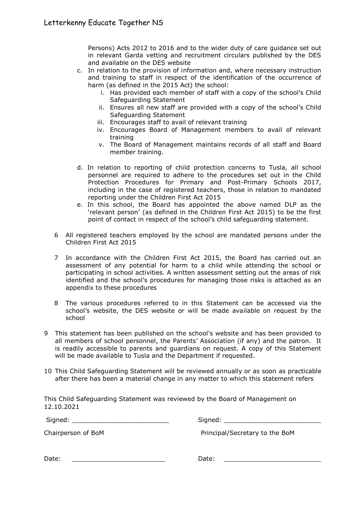Persons) Acts 2012 to 2016 and to the wider duty of care guidance set out in relevant Garda vetting and recruitment circulars published by the DES and available on the DES website

- c. In relation to the provision of information and, where necessary instruction and training to staff in respect of the identification of the occurrence of harm (as defined in the 2015 Act) the school:
	- i. Has provided each member of staff with a copy of the school's Child Safeguarding Statement
	- ii. Ensures all new staff are provided with a copy of the school's Child Safeguarding Statement
	- iii. Encourages staff to avail of relevant training
	- iv. Encourages Board of Management members to avail of relevant training
	- v. The Board of Management maintains records of all staff and Board member training.
- d. In relation to reporting of child protection concerns to Tusla, all school personnel are required to adhere to the procedures set out in the Child Protection Procedures for Primary and Post-Primary Schools 2017, including in the case of registered teachers, those in relation to mandated reporting under the Children First Act 2015
- e. In this school, the Board has appointed the above named DLP as the 'relevant person' (as defined in the Children First Act 2015) to be the first point of contact in respect of the school's child safeguarding statement.
- 6 All registered teachers employed by the school are mandated persons under the Children First Act 2015
- 7 In accordance with the Children First Act 2015, the Board has carried out an assessment of any potential for harm to a child while attending the school or participating in school activities. A written assessment setting out the areas of risk identified and the school's procedures for managing those risks is attached as an appendix to these procedures
- 8 The various procedures referred to in this Statement can be accessed via the school's website, the DES website or will be made available on request by the school
- 9 This statement has been published on the school's website and has been provided to all members of school personnel, the Parents' Association (if any) and the patron. It is readily accessible to parents and guardians on request. A copy of this Statement will be made available to Tusla and the Department if requested.
- 10 This Child Safeguarding Statement will be reviewed annually or as soon as practicable after there has been a material change in any matter to which this statement refers

This Child Safeguarding Statement was reviewed by the Board of Management on 12.10.2021

Signed: \_\_\_\_\_\_\_\_\_\_\_\_\_\_\_\_\_\_\_\_\_\_\_\_\_ Signed: \_\_\_\_\_\_\_\_\_\_\_\_\_\_\_\_\_\_\_\_\_\_\_\_\_

Chairperson of BoM Principal/Secretary to the BoM

| Date: |
|-------|
|-------|

Date: \_\_\_\_\_\_\_\_\_\_\_\_\_\_\_\_\_\_\_\_\_\_\_\_ Date: \_\_\_\_\_\_\_\_\_\_\_\_\_\_\_\_\_\_\_\_\_\_\_\_\_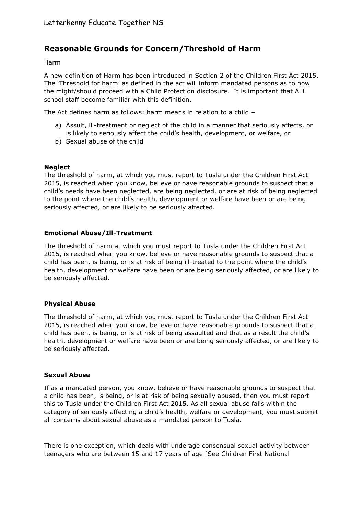# **Reasonable Grounds for Concern/Threshold of Harm**

Harm

A new definition of Harm has been introduced in Section 2 of the Children First Act 2015. The 'Threshold for harm' as defined in the act will inform mandated persons as to how the might/should proceed with a Child Protection disclosure. It is important that ALL school staff become familiar with this definition.

The Act defines harm as follows: harm means in relation to a child –

- a) Assult, ill-treatment or neglect of the child in a manner that seriously affects, or is likely to seriously affect the child's health, development, or welfare, or
- b) Sexual abuse of the child

#### **Neglect**

The threshold of harm, at which you must report to Tusla under the Children First Act 2015, is reached when you know, believe or have reasonable grounds to suspect that a child's needs have been neglected, are being neglected, or are at risk of being neglected to the point where the child's health, development or welfare have been or are being seriously affected, or are likely to be seriously affected.

#### **Emotional Abuse/Ill-Treatment**

The threshold of harm at which you must report to Tusla under the Children First Act 2015, is reached when you know, believe or have reasonable grounds to suspect that a child has been, is being, or is at risk of being ill-treated to the point where the child's health, development or welfare have been or are being seriously affected, or are likely to be seriously affected.

# **Physical Abuse**

The threshold of harm, at which you must report to Tusla under the Children First Act 2015, is reached when you know, believe or have reasonable grounds to suspect that a child has been, is being, or is at risk of being assaulted and that as a result the child's health, development or welfare have been or are being seriously affected, or are likely to be seriously affected.

#### **Sexual Abuse**

If as a mandated person, you know, believe or have reasonable grounds to suspect that a child has been, is being, or is at risk of being sexually abused, then you must report this to Tusla under the Children First Act 2015. As all sexual abuse falls within the category of seriously affecting a child's health, welfare or development, you must submit all concerns about sexual abuse as a mandated person to Tusla.

There is one exception, which deals with underage consensual sexual activity between teenagers who are between 15 and 17 years of age [See Children First National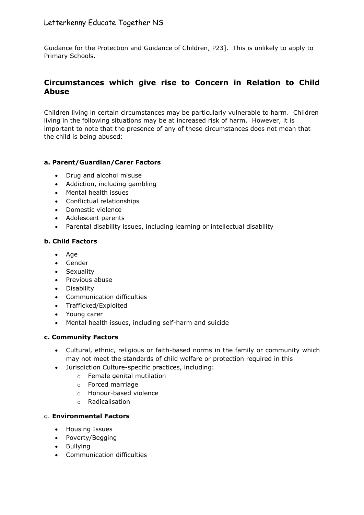# Letterkenny Educate Together NS

Guidance for the Protection and Guidance of Children, P23]. This is unlikely to apply to Primary Schools.

# **Circumstances which give rise to Concern in Relation to Child Abuse**

Children living in certain circumstances may be particularly vulnerable to harm. Children living in the following situations may be at increased risk of harm. However, it is important to note that the presence of any of these circumstances does not mean that the child is being abused:

# **a. Parent/Guardian/Carer Factors**

- Drug and alcohol misuse
- Addiction, including gambling
- Mental health issues
- Conflictual relationships
- Domestic violence
- Adolescent parents
- Parental disability issues, including learning or intellectual disability

# **b. Child Factors**

- $A$ ge
- Gender
- Sexuality
- Previous abuse
- Disability
- Communication difficulties
- Trafficked/Exploited
- Young carer
- Mental health issues, including self-harm and suicide

# **c. Community Factors**

- Cultural, ethnic, religious or faith-based norms in the family or community which may not meet the standards of child welfare or protection required in this
- Jurisdiction Culture-specific practices, including:
	- o Female genital mutilation
	- o Forced marriage
	- o Honour-based violence
	- o Radicalisation

# d. **Environmental Factors**

- Housing Issues
- Poverty/Begging
- Bullvina
- Communication difficulties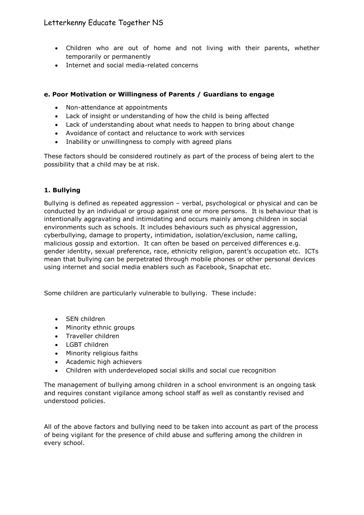# Letterkenny Educate Together NS

- Children who are out of home and not living with their parents, whether temporarily or permanently
- Internet and social media-related concerns

# **e. Poor Motivation or Willingness of Parents / Guardians to engage**

- Non-attendance at appointments
- Lack of insight or understanding of how the child is being affected
- Lack of understanding about what needs to happen to bring about change
- Avoidance of contact and reluctance to work with services
- Inability or unwillingness to comply with agreed plans

These factors should be considered routinely as part of the process of being alert to the possibility that a child may be at risk.

# **1. Bullying**

Bullying is defined as repeated aggression – verbal, psychological or physical and can be conducted by an individual or group against one or more persons. It is behaviour that is intentionally aggravating and intimidating and occurs mainly among children in social environments such as schools. It includes behaviours such as physical aggression, cyberbullying, damage to property, intimidation, isolation/exclusion, name calling, malicious gossip and extortion. It can often be based on perceived differences e.g. gender identity, sexual preference, race, ethnicity religion, parent's occupation etc. ICTs mean that bullying can be perpetrated through mobile phones or other personal devices using internet and social media enablers such as Facebook, Snapchat etc.

Some children are particularly vulnerable to bullying. These include:

- SEN children
- Minority ethnic groups
- Traveller children
- LGBT children
- Minority religious faiths
- Academic high achievers
- Children with underdeveloped social skills and social cue recognition

The management of bullying among children in a school environment is an ongoing task and requires constant vigilance among school staff as well as constantly revised and understood policies.

All of the above factors and bullying need to be taken into account as part of the process of being vigilant for the presence of child abuse and suffering among the children in every school.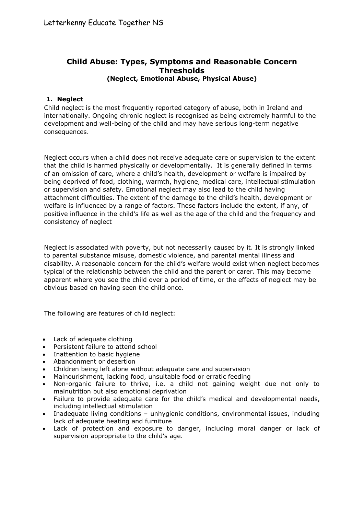# **Child Abuse: Types, Symptoms and Reasonable Concern Thresholds (Neglect, Emotional Abuse, Physical Abuse)**

# **1. Neglect**

Child neglect is the most frequently reported category of abuse, both in Ireland and internationally. Ongoing chronic neglect is recognised as being extremely harmful to the development and well-being of the child and may have serious long-term negative consequences.

Neglect occurs when a child does not receive adequate care or supervision to the extent that the child is harmed physically or developmentally. It is generally defined in terms of an omission of care, where a child's health, development or welfare is impaired by being deprived of food, clothing, warmth, hygiene, medical care, intellectual stimulation or supervision and safety. Emotional neglect may also lead to the child having attachment difficulties. The extent of the damage to the child's health, development or welfare is influenced by a range of factors. These factors include the extent, if any, of positive influence in the child's life as well as the age of the child and the frequency and consistency of neglect

Neglect is associated with poverty, but not necessarily caused by it. It is strongly linked to parental substance misuse, domestic violence, and parental mental illness and disability. A reasonable concern for the child's welfare would exist when neglect becomes typical of the relationship between the child and the parent or carer. This may become apparent where you see the child over a period of time, or the effects of neglect may be obvious based on having seen the child once.

The following are features of child neglect:

- Lack of adequate clothing
- Persistent failure to attend school
- Inattention to basic hygiene
- Abandonment or desertion
- Children being left alone without adequate care and supervision
- Malnourishment, lacking food, unsuitable food or erratic feeding
- Non-organic failure to thrive, i.e. a child not gaining weight due not only to malnutrition but also emotional deprivation
- Failure to provide adequate care for the child's medical and developmental needs, including intellectual stimulation
- Inadequate living conditions unhygienic conditions, environmental issues, including lack of adequate heating and furniture
- Lack of protection and exposure to danger, including moral danger or lack of supervision appropriate to the child's age.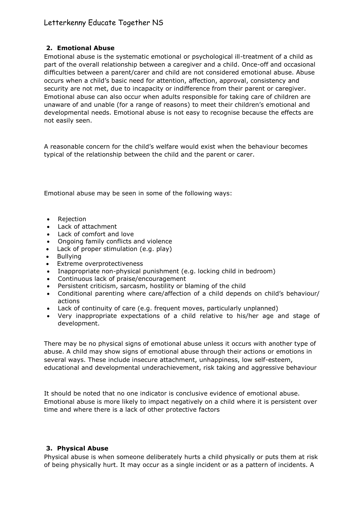# **2. Emotional Abuse**

Emotional abuse is the systematic emotional or psychological ill-treatment of a child as part of the overall relationship between a caregiver and a child. Once-off and occasional difficulties between a parent/carer and child are not considered emotional abuse. Abuse occurs when a child's basic need for attention, affection, approval, consistency and security are not met, due to incapacity or indifference from their parent or caregiver. Emotional abuse can also occur when adults responsible for taking care of children are unaware of and unable (for a range of reasons) to meet their children's emotional and developmental needs. Emotional abuse is not easy to recognise because the effects are not easily seen.

A reasonable concern for the child's welfare would exist when the behaviour becomes typical of the relationship between the child and the parent or carer.

Emotional abuse may be seen in some of the following ways:

- Rejection
- Lack of attachment
- Lack of comfort and love
- Ongoing family conflicts and violence
- Lack of proper stimulation (e.g. play)
- Bullying
- Extreme overprotectiveness
- Inappropriate non-physical punishment (e.g. locking child in bedroom)
- Continuous lack of praise/encouragement
- Persistent criticism, sarcasm, hostility or blaming of the child
- Conditional parenting where care/affection of a child depends on child's behaviour/ actions
- Lack of continuity of care (e.g. frequent moves, particularly unplanned)
- Very inappropriate expectations of a child relative to his/her age and stage of development.

There may be no physical signs of emotional abuse unless it occurs with another type of abuse. A child may show signs of emotional abuse through their actions or emotions in several ways. These include insecure attachment, unhappiness, low self-esteem, educational and developmental underachievement, risk taking and aggressive behaviour

It should be noted that no one indicator is conclusive evidence of emotional abuse. Emotional abuse is more likely to impact negatively on a child where it is persistent over time and where there is a lack of other protective factors

# **3. Physical Abuse**

Physical abuse is when someone deliberately hurts a child physically or puts them at risk of being physically hurt. It may occur as a single incident or as a pattern of incidents. A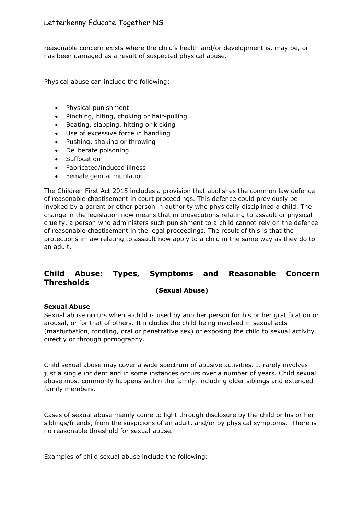reasonable concern exists where the child's health and/or development is, may be, or has been damaged as a result of suspected physical abuse.

Physical abuse can include the following:

- Physical punishment
- Pinching, biting, choking or hair-pulling
- Beating, slapping, hitting or kicking
- Use of excessive force in handling
- Pushing, shaking or throwing
- Deliberate poisoning
- Suffocation
- Fabricated/induced illness
- Female genital mutilation.

The Children First Act 2015 includes a provision that abolishes the common law defence of reasonable chastisement in court proceedings. This defence could previously be invoked by a parent or other person in authority who physically disciplined a child. The change in the legislation now means that in prosecutions relating to assault or physical cruelty, a person who administers such punishment to a child cannot rely on the defence of reasonable chastisement in the legal proceedings. The result of this is that the protections in law relating to assault now apply to a child in the same way as they do to an adult.

# **Child Abuse: Types, Symptoms and Reasonable Concern Thresholds**

#### **(Sexual Abuse)**

# **Sexual Abuse**

Sexual abuse occurs when a child is used by another person for his or her gratification or arousal, or for that of others. It includes the child being involved in sexual acts (masturbation, fondling, oral or penetrative sex) or exposing the child to sexual activity directly or through pornography.

Child sexual abuse may cover a wide spectrum of abusive activities. It rarely involves just a single incident and in some instances occurs over a number of years. Child sexual abuse most commonly happens within the family, including older siblings and extended family members.

Cases of sexual abuse mainly come to light through disclosure by the child or his or her siblings/friends, from the suspicions of an adult, and/or by physical symptoms. There is no reasonable threshold for sexual abuse.

Examples of child sexual abuse include the following: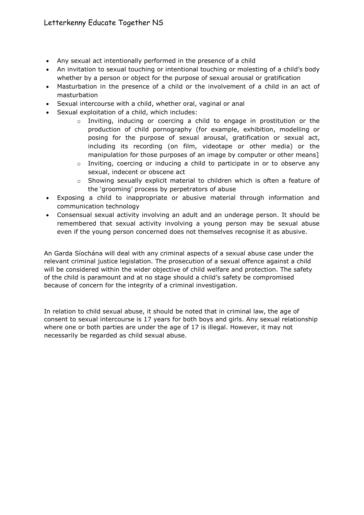- Any sexual act intentionally performed in the presence of a child
- An invitation to sexual touching or intentional touching or molesting of a child's body whether by a person or object for the purpose of sexual arousal or gratification
- Masturbation in the presence of a child or the involvement of a child in an act of masturbation
- Sexual intercourse with a child, whether oral, vaginal or anal
- Sexual exploitation of a child, which includes:
	- o Inviting, inducing or coercing a child to engage in prostitution or the production of child pornography (for example, exhibition, modelling or posing for the purpose of sexual arousal, gratification or sexual act, including its recording (on film, videotape or other media) or the manipulation for those purposes of an image by computer or other means]
	- o Inviting, coercing or inducing a child to participate in or to observe any sexual, indecent or obscene act
	- o Showing sexually explicit material to children which is often a feature of the 'grooming' process by perpetrators of abuse
- Exposing a child to inappropriate or abusive material through information and communication technology
- Consensual sexual activity involving an adult and an underage person. It should be remembered that sexual activity involving a young person may be sexual abuse even if the young person concerned does not themselves recognise it as abusive.

An Garda Síochána will deal with any criminal aspects of a sexual abuse case under the relevant criminal justice legislation. The prosecution of a sexual offence against a child will be considered within the wider objective of child welfare and protection. The safety of the child is paramount and at no stage should a child's safety be compromised because of concern for the integrity of a criminal investigation.

In relation to child sexual abuse, it should be noted that in criminal law, the age of consent to sexual intercourse is 17 years for both boys and girls. Any sexual relationship where one or both parties are under the age of 17 is illegal. However, it may not necessarily be regarded as child sexual abuse.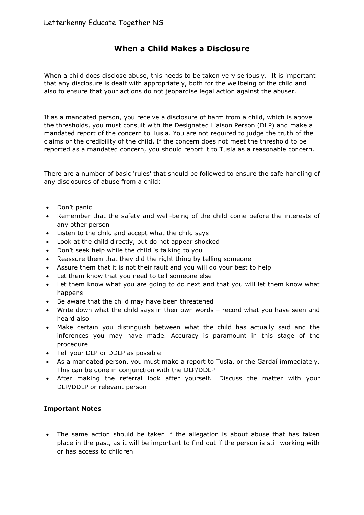# **When a Child Makes a Disclosure**

When a child does disclose abuse, this needs to be taken very seriously. It is important that any disclosure is dealt with appropriately, both for the wellbeing of the child and also to ensure that your actions do not jeopardise legal action against the abuser.

If as a mandated person, you receive a disclosure of harm from a child, which is above the thresholds, you must consult with the Designated Liaison Person (DLP) and make a mandated report of the concern to Tusla. You are not required to judge the truth of the claims or the credibility of the child. If the concern does not meet the threshold to be reported as a mandated concern, you should report it to Tusla as a reasonable concern.

There are a number of basic 'rules' that should be followed to ensure the safe handling of any disclosures of abuse from a child:

- Don't panic
- Remember that the safety and well-being of the child come before the interests of any other person
- Listen to the child and accept what the child says
- Look at the child directly, but do not appear shocked
- Don't seek help while the child is talking to you
- Reassure them that they did the right thing by telling someone
- Assure them that it is not their fault and you will do your best to help
- Let them know that you need to tell someone else
- Let them know what you are going to do next and that you will let them know what happens
- Be aware that the child may have been threatened
- Write down what the child says in their own words record what you have seen and heard also
- Make certain you distinguish between what the child has actually said and the inferences you may have made. Accuracy is paramount in this stage of the procedure
- Tell your DLP or DDLP as possible
- As a mandated person, you must make a report to Tusla, or the Gardaí immediately. This can be done in conjunction with the DLP/DDLP
- After making the referral look after yourself. Discuss the matter with your DLP/DDLP or relevant person

# **Important Notes**

 The same action should be taken if the allegation is about abuse that has taken place in the past, as it will be important to find out if the person is still working with or has access to children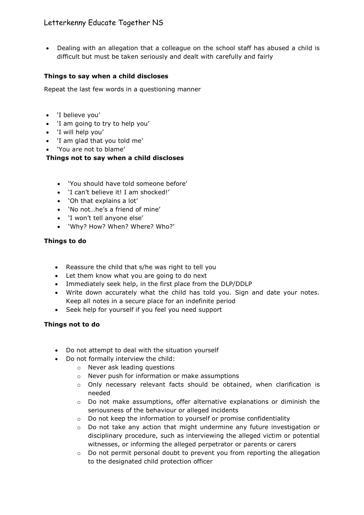# Letterkenny Educate Together NS

• Dealing with an allegation that a colleague on the school staff has abused a child is difficult but must be taken seriously and dealt with carefully and fairly

# **Things to say when a child discloses**

Repeat the last few words in a questioning manner

- 'I believe you'
- 'I am going to try to help you'
- 'I will help you'
- 'I am glad that you told me'
- 'You are not to blame'

**Things not to say when a child discloses**

- 'You should have told someone before'
- 'I can't believe it! I am shocked!'
- 'Oh that explains a lot'
- 'No not…he's a friend of mine'
- 'I won't tell anyone else'
- 'Why? How? When? Where? Who?'

# **Things to do**

- Reassure the child that s/he was right to tell you
- Let them know what you are going to do next
- Immediately seek help, in the first place from the DLP/DDLP
- Write down accurately what the child has told you. Sign and date your notes. Keep all notes in a secure place for an indefinite period
- Seek help for yourself if you feel you need support

# **Things not to do**

- Do not attempt to deal with the situation yourself
- Do not formally interview the child:
	- o Never ask leading questions
	- o Never push for information or make assumptions
	- o Only necessary relevant facts should be obtained, when clarification is needed
	- $\circ$  Do not make assumptions, offer alternative explanations or diminish the seriousness of the behaviour or alleged incidents
	- $\circ$  Do not keep the information to yourself or promise confidentiality
	- $\circ$  Do not take any action that might undermine any future investigation or disciplinary procedure, such as interviewing the alleged victim or potential witnesses, or informing the alleged perpetrator or parents or carers
	- $\circ$  Do not permit personal doubt to prevent you from reporting the allegation to the designated child protection officer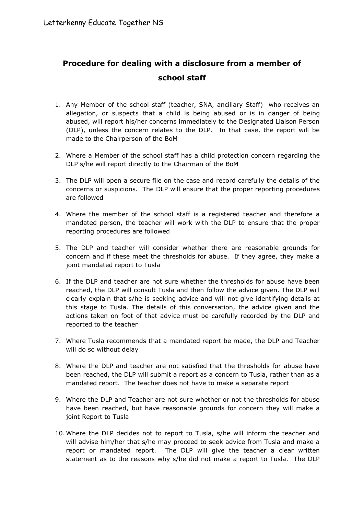# **Procedure for dealing with a disclosure from a member of school staff**

- 1. Any Member of the school staff (teacher, SNA, ancillary Staff) who receives an allegation, or suspects that a child is being abused or is in danger of being abused, will report his/her concerns immediately to the Designated Liaison Person (DLP), unless the concern relates to the DLP. In that case, the report will be made to the Chairperson of the BoM
- 2. Where a Member of the school staff has a child protection concern regarding the DLP s/he will report directly to the Chairman of the BoM
- 3. The DLP will open a secure file on the case and record carefully the details of the concerns or suspicions. The DLP will ensure that the proper reporting procedures are followed
- 4. Where the member of the school staff is a registered teacher and therefore a mandated person, the teacher will work with the DLP to ensure that the proper reporting procedures are followed
- 5. The DLP and teacher will consider whether there are reasonable grounds for concern and if these meet the thresholds for abuse. If they agree, they make a joint mandated report to Tusla
- 6. If the DLP and teacher are not sure whether the thresholds for abuse have been reached, the DLP will consult Tusla and then follow the advice given. The DLP will clearly explain that s/he is seeking advice and will not give identifying details at this stage to Tusla. The details of this conversation, the advice given and the actions taken on foot of that advice must be carefully recorded by the DLP and reported to the teacher
- 7. Where Tusla recommends that a mandated report be made, the DLP and Teacher will do so without delay
- 8. Where the DLP and teacher are not satisfied that the thresholds for abuse have been reached, the DLP will submit a report as a concern to Tusla, rather than as a mandated report. The teacher does not have to make a separate report
- 9. Where the DLP and Teacher are not sure whether or not the thresholds for abuse have been reached, but have reasonable grounds for concern they will make a joint Report to Tusla
- 10. Where the DLP decides not to report to Tusla, s/he will inform the teacher and will advise him/her that s/he may proceed to seek advice from Tusla and make a report or mandated report. The DLP will give the teacher a clear written statement as to the reasons why s/he did not make a report to Tusla. The DLP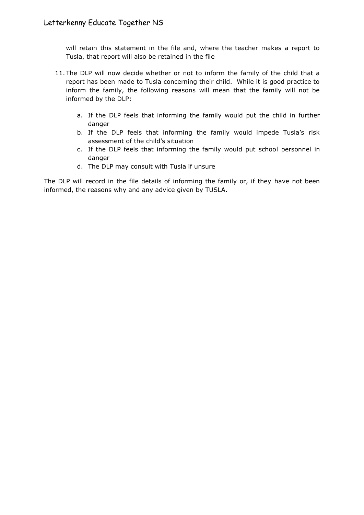will retain this statement in the file and, where the teacher makes a report to Tusla, that report will also be retained in the file

- 11. The DLP will now decide whether or not to inform the family of the child that a report has been made to Tusla concerning their child. While it is good practice to inform the family, the following reasons will mean that the family will not be informed by the DLP:
	- a. If the DLP feels that informing the family would put the child in further danger
	- b. If the DLP feels that informing the family would impede Tusla's risk assessment of the child's situation
	- c. If the DLP feels that informing the family would put school personnel in danger
	- d. The DLP may consult with Tusla if unsure

The DLP will record in the file details of informing the family or, if they have not been informed, the reasons why and any advice given by TUSLA.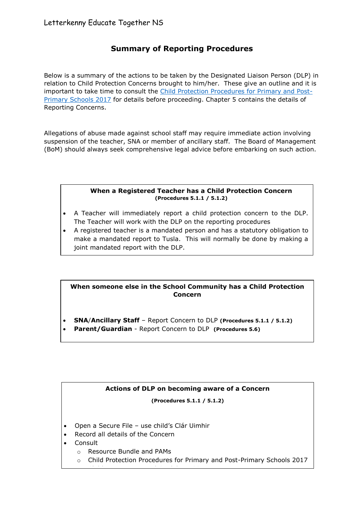# **Summary of Reporting Procedures**

Below is a summary of the actions to be taken by the Designated Liaison Person (DLP) in relation to Child Protection Concerns brought to him/her. These give an outline and it is important to take time to consult the [Child Protection Procedures for Primary and Post-](https://www.education.ie/en/Schools-Colleges/Information/Child-Protection/child_protection_guidelines.pdf)[Primary Schools 2017](https://www.education.ie/en/Schools-Colleges/Information/Child-Protection/child_protection_guidelines.pdf) for details before proceeding. Chapter 5 contains the details of Reporting Concerns.

Allegations of abuse made against school staff may require immediate action involving suspension of the teacher, SNA or member of ancillary staff. The Board of Management (BoM) should always seek comprehensive legal advice before embarking on such action.

#### **When a Registered Teacher has a Child Protection Concern (Procedures 5.1.1 / 5.1.2)**

- A Teacher will immediately report a child protection concern to the DLP. The Teacher will work with the DLP on the reporting procedures
- A registered teacher is a mandated person and has a statutory obligation to make a mandated report to Tusla. This will normally be done by making a joint mandated report with the DLP.

# **When someone else in the School Community has a Child Protection Concern**

- **SNA**/**Ancillary Staff** Report Concern to DLP **(Procedures 5.1.1 / 5.1.2)**
- **Parent/Guardian** Report Concern to DLP **(Procedures 5.6)**

# **Actions of DLP on becoming aware of a Concern**

**(Procedures 5.1.1 / 5.1.2)**

Open a Secure File – use child's Clár Uimhir

o Children First National Guidelines 2017<br>The Children First National Guidelines 2017

- Record all details of the Concern
- Consult
	- o Resource Bundle and PAMs
	- o Child Protection Procedures for Primary and Post-Primary Schools 2017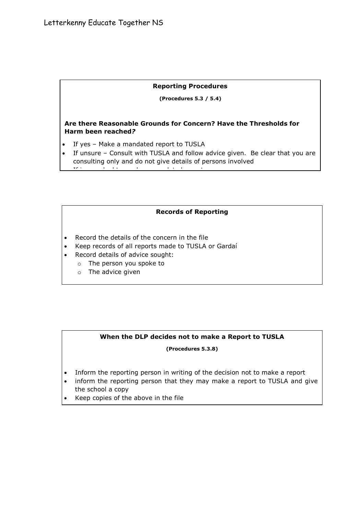#### **Reporting Procedures**

 **(Procedures 5.3 / 5.4)**

# **Are there Reasonable Grounds for Concern? Have the Thresholds for Harm been reached***?*

If yes – Make a mandated report to TUSLA

<u>If in any doubt – make a mandated report of the mandated report of the set of the set of the set of the set of the set of the set of the set of the set of the set of the set of the set of the set of the set of the set of </u>

 If unsure – Consult with TUSLA and follow advice given. Be clear that you are consulting only and do not give details of persons involved

#### **Records of Reporting**

- Record the details of the concern in the file
- Keep records of all reports made to TUSLA or Gardaí
- Record details of advice sought:
	- o The person you spoke to
	- o The advice given

# **When the DLP decides not to make a Report to TUSLA**

#### **(Procedures 5.3.8)**

• Inform the reporting person in writing of the decision not to make a report

 $\mathcal{L}_{\mathcal{A}}$  and the report by the report by the file report by the file file person in the file file file file

- inform the reporting person that they may make a report to TUSLA and give the school a copy
- Keep copies of the above in the file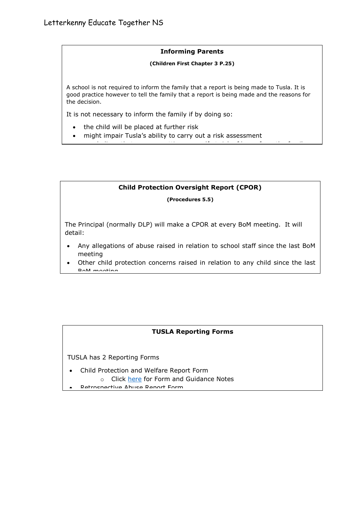#### **Informing Parents**

#### **(Children First Chapter 3 P.25)**

A school is not required to inform the family that a report is being made to Tusla. It is good practice however to tell the family that a report is being made and the reasons for the decision.

It is not necessary to inform the family if by doing so:

- the child will be placed at further risk
- might impair Tusla's ability to carry out a risk assessment

# **Child Protection Oversight Report (CPOR)**

you believe that you are putting yourself at risk of harm from the family

#### **(Procedures 5.5)**

The Principal (normally DLP) will make a CPOR at every BoM meeting. It will detail:

- Any allegations of abuse raised in relation to school staff since the last BoM meeting
- Other child protection concerns raised in relation to any child since the last BoM meeting

# **TUSLA Reporting Forms**

TUSLA has 2 Reporting Forms

- Child Protection and Welfare Report Form
	- o Click [here](http://www.tusla.ie/children-first/publications-and-forms#SRP) for Form and Guidance Notes
- Retrospective Abuse Report Form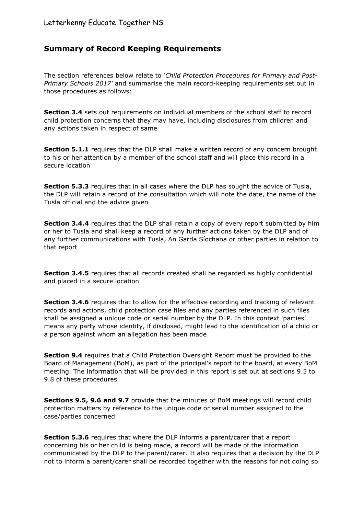# **Summary of Record Keeping Requirements**

The section references below relate to *'Child Protection Procedures for Primary and Post-Primary Schools 2017'* and summarise the main record-keeping requirements set out in those procedures as follows:

**Section 3.4** sets out requirements on individual members of the school staff to record child protection concerns that they may have, including disclosures from children and any actions taken in respect of same

**Section 5.1.1** requires that the DLP shall make a written record of any concern brought to his or her attention by a member of the school staff and will place this record in a secure location

**Section 5.3.3** requires that in all cases where the DLP has sought the advice of Tusla, the DLP will retain a record of the consultation which will note the date, the name of the Tusla official and the advice given

**Section 3.4.4** requires that the DLP shall retain a copy of every report submitted by him or her to Tusla and shall keep a record of any further actions taken by the DLP and of any further communications with Tusla, An Garda Síochana or other parties in relation to that report

**Section 3.4.5** requires that all records created shall be regarded as highly confidential and placed in a secure location

**Section 3.4.6** requires that to allow for the effective recording and tracking of relevant records and actions, child protection case files and any parties referenced in such files shall be assigned a unique code or serial number by the DLP. In this context 'parties' means any party whose identity, if disclosed, might lead to the identification of a child or a person against whom an allegation has been made

**Section 9.4** requires that a Child Protection Oversight Report must be provided to the Board of Management (BoM), as part of the principal's report to the board, at every BoM meeting. The information that will be provided in this report is set out at sections 9.5 to 9.8 of these procedures

**Sections 9.5, 9.6 and 9.7** provide that the minutes of BoM meetings will record child protection matters by reference to the unique code or serial number assigned to the case/parties concerned

**Section 5.3.6** requires that where the DLP informs a parent/carer that a report concerning his or her child is being made, a record will be made of the information communicated by the DLP to the parent/carer. It also requires that a decision by the DLP not to inform a parent/carer shall be recorded together with the reasons for not doing so